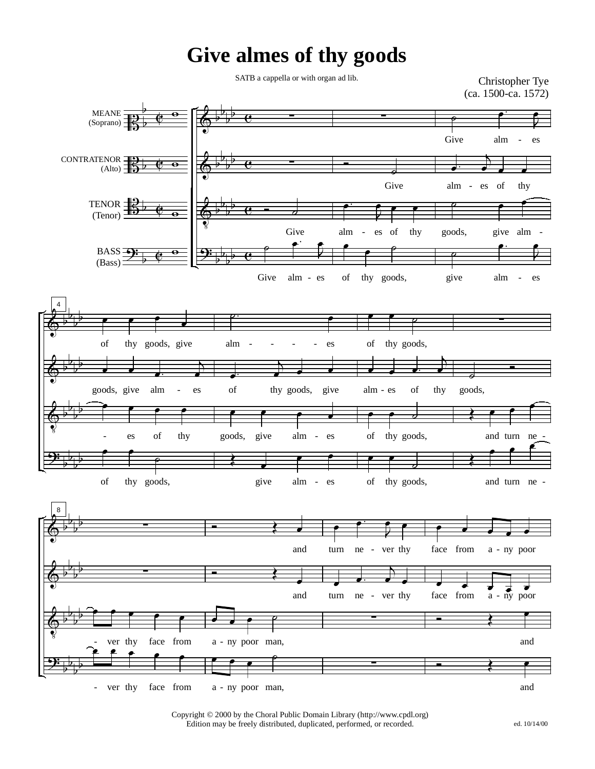## **Give almes of thy goods**

SATB a cappella or with organ ad lib.

Christopher Tye (ca. 1500-ca. 1572)



Copyright © 2000 by the Choral Public Domain Library (http://www.cpdl.org) Edition may be freely distributed, duplicated, performed, or recorded. ed. 10/14/00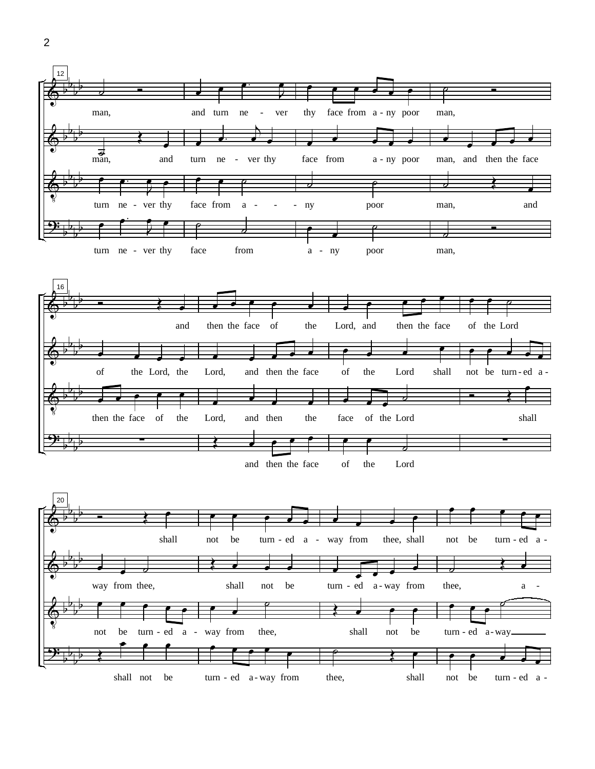

2